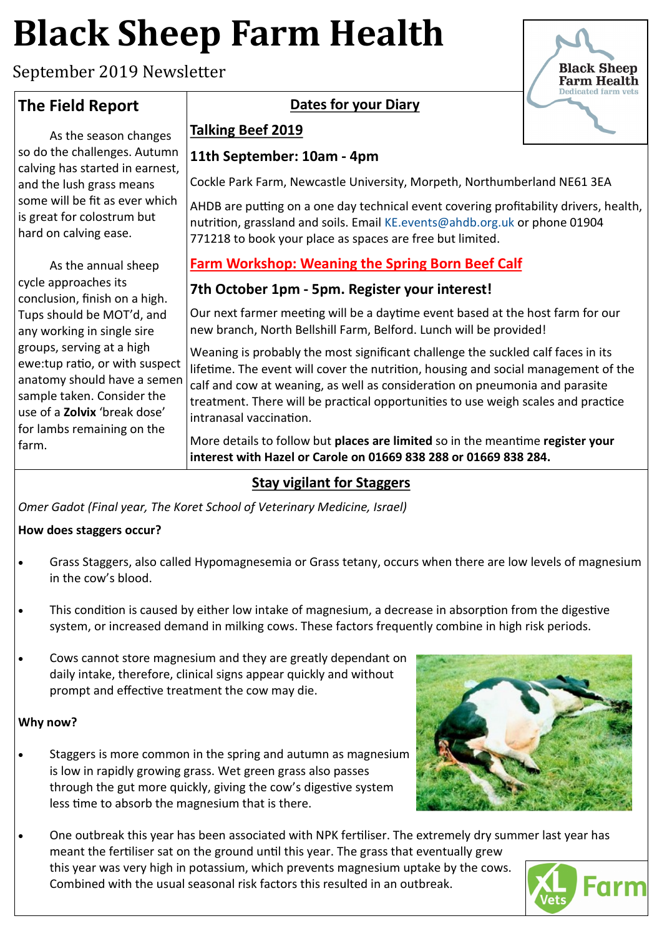# **Black Sheep Farm Health**

September 2019 Newsletter

## **The Field Report**

As the season changes so do the challenges. Autumn calving has started in earnest, and the lush grass means some will be fit as ever which is great for colostrum but hard on calving ease.

As the annual sheep cycle approaches its conclusion, finish on a high. Tups should be MOT'd, and any working in single sire groups, serving at a high ewe:tup ratio, or with suspect anatomy should have a semen sample taken. Consider the use of a **Zolvix** 'break dose' for lambs remaining on the farm.



#### **Talking Beef 2019**

#### **11th September: 10am - 4pm**

Cockle Park Farm, Newcastle University, Morpeth, Northumberland NE61 3EA

AHDB are putting on a one day technical event covering profitability drivers, health, nutrition, grassland and soils. Email [KE.events@ahdb.org.uk](mailto:KE.events@ahdb.org.uk) or phone 01904 771218 to book your place as spaces are free but limited.

## **Farm Workshop: Weaning the Spring Born Beef Calf**

#### **7th October 1pm - 5pm. Register your interest!**

Our next farmer meeting will be a daytime event based at the host farm for our new branch, North Bellshill Farm, Belford. Lunch will be provided!

Weaning is probably the most significant challenge the suckled calf faces in its lifetime. The event will cover the nutrition, housing and social management of the calf and cow at weaning, as well as consideration on pneumonia and parasite treatment. There will be practical opportunities to use weigh scales and practice intranasal vaccination.

More details to follow but **places are limited** so in the meantime **register your interest with Hazel or Carole on 01669 838 288 or 01669 838 284.**

### **Stay vigilant for Staggers**

*Omer Gadot (Final year, The Koret School of Veterinary Medicine, Israel)*

#### **How does staggers occur?**

- Grass Staggers, also called Hypomagnesemia or Grass tetany, occurs when there are low levels of magnesium in the cow's blood.
- This condition is caused by either low intake of magnesium, a decrease in absorption from the digestive system, or increased demand in milking cows. These factors frequently combine in high risk periods.
- Cows cannot store magnesium and they are greatly dependant on daily intake, therefore, clinical signs appear quickly and without prompt and effective treatment the cow may die.

#### **Why now?**

- Staggers is more common in the spring and autumn as magnesium is low in rapidly growing grass. Wet green grass also passes through the gut more quickly, giving the cow's digestive system less time to absorb the magnesium that is there.
- One outbreak this year has been associated with NPK fertiliser. The extremely dry summer last year has meant the fertiliser sat on the ground until this year. The grass that eventually grew this year was very high in potassium, which prevents magnesium uptake by the cows. Combined with the usual seasonal risk factors this resulted in an outbreak.